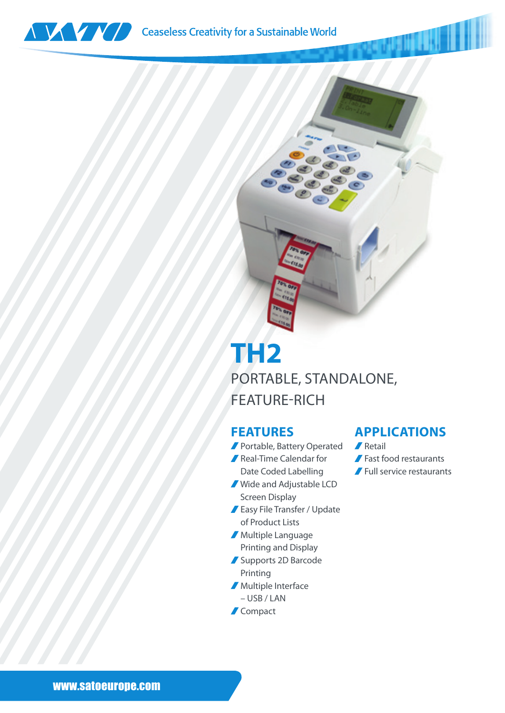



## **TH2** PORTABLE, STANDALONE, FEATURE-RICH

## **FEATURES**

- Portable, Battery Operated **A** Retail
- Real-Time Calendar for
- Date Coded Labelling Wide and Adjustable LCD Screen Display
- Easy File Transfer / Update of Product Lists
- Multiple Language Printing and Display
- Supports 2D Barcode Printing
- **Multiple Interface** 
	- USB / LAN
- **Compact**

## **APPLICATIONS**

- 
- Fast food restaurants
- Full service restaurants

www.satoeurope.com